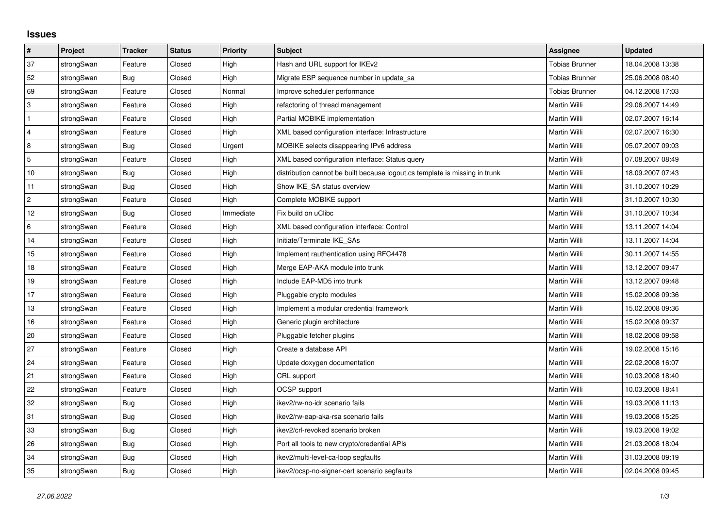## **Issues**

| $\vert$ #      | Project    | <b>Tracker</b> | <b>Status</b> | <b>Priority</b> | <b>Subject</b>                                                              | <b>Assignee</b>       | <b>Updated</b>   |
|----------------|------------|----------------|---------------|-----------------|-----------------------------------------------------------------------------|-----------------------|------------------|
| 37             | strongSwan | Feature        | Closed        | High            | Hash and URL support for IKEv2                                              | <b>Tobias Brunner</b> | 18.04.2008 13:38 |
| 52             | strongSwan | Bug            | Closed        | High            | Migrate ESP sequence number in update sa                                    | <b>Tobias Brunner</b> | 25.06.2008 08:40 |
| 69             | strongSwan | Feature        | Closed        | Normal          | Improve scheduler performance                                               | <b>Tobias Brunner</b> | 04.12.2008 17:03 |
| $\mathsf 3$    | strongSwan | Feature        | Closed        | High            | refactoring of thread management                                            | Martin Willi          | 29.06.2007 14:49 |
| $\mathbf{1}$   | strongSwan | Feature        | Closed        | High            | Partial MOBIKE implementation                                               | Martin Willi          | 02.07.2007 16:14 |
| $\overline{4}$ | strongSwan | Feature        | Closed        | High            | XML based configuration interface: Infrastructure                           | Martin Willi          | 02.07.2007 16:30 |
| 8              | strongSwan | <b>Bug</b>     | Closed        | Urgent          | MOBIKE selects disappearing IPv6 address                                    | Martin Willi          | 05.07.2007 09:03 |
| $\sqrt{5}$     | strongSwan | Feature        | Closed        | High            | XML based configuration interface: Status query                             | Martin Willi          | 07.08.2007 08:49 |
| $10$           | strongSwan | Bug            | Closed        | High            | distribution cannot be built because logout.cs template is missing in trunk | Martin Willi          | 18.09.2007 07:43 |
| 11             | strongSwan | <b>Bug</b>     | Closed        | High            | Show IKE SA status overview                                                 | Martin Willi          | 31.10.2007 10:29 |
| $\sqrt{2}$     | strongSwan | Feature        | Closed        | High            | Complete MOBIKE support                                                     | Martin Willi          | 31.10.2007 10:30 |
| 12             | strongSwan | <b>Bug</b>     | Closed        | Immediate       | Fix build on uClibc                                                         | Martin Willi          | 31.10.2007 10:34 |
| 6              | strongSwan | Feature        | Closed        | High            | XML based configuration interface: Control                                  | Martin Willi          | 13.11.2007 14:04 |
| 14             | strongSwan | Feature        | Closed        | High            | Initiate/Terminate IKE SAs                                                  | Martin Willi          | 13.11.2007 14:04 |
| $15\,$         | strongSwan | Feature        | Closed        | High            | Implement rauthentication using RFC4478                                     | Martin Willi          | 30.11.2007 14:55 |
| 18             | strongSwan | Feature        | Closed        | High            | Merge EAP-AKA module into trunk                                             | Martin Willi          | 13.12.2007 09:47 |
| 19             | strongSwan | Feature        | Closed        | High            | Include EAP-MD5 into trunk                                                  | Martin Willi          | 13.12.2007 09:48 |
| 17             | strongSwan | Feature        | Closed        | High            | Pluggable crypto modules                                                    | Martin Willi          | 15.02.2008 09:36 |
| $13$           | strongSwan | Feature        | Closed        | High            | Implement a modular credential framework                                    | Martin Willi          | 15.02.2008 09:36 |
| 16             | strongSwan | Feature        | Closed        | High            | Generic plugin architecture                                                 | Martin Willi          | 15.02.2008 09:37 |
| 20             | strongSwan | Feature        | Closed        | High            | Pluggable fetcher plugins                                                   | Martin Willi          | 18.02.2008 09:58 |
| 27             | strongSwan | Feature        | Closed        | High            | Create a database API                                                       | Martin Willi          | 19.02.2008 15:16 |
| 24             | strongSwan | Feature        | Closed        | High            | Update doxygen documentation                                                | Martin Willi          | 22.02.2008 16:07 |
| 21             | strongSwan | Feature        | Closed        | High            | CRL support                                                                 | Martin Willi          | 10.03.2008 18:40 |
| 22             | strongSwan | Feature        | Closed        | High            | OCSP support                                                                | Martin Willi          | 10.03.2008 18:41 |
| 32             | strongSwan | Bug            | Closed        | High            | ikev2/rw-no-idr scenario fails                                              | Martin Willi          | 19.03.2008 11:13 |
| 31             | strongSwan | Bug            | Closed        | High            | ikev2/rw-eap-aka-rsa scenario fails                                         | Martin Willi          | 19.03.2008 15:25 |
| 33             | strongSwan | <b>Bug</b>     | Closed        | High            | ikev2/crl-revoked scenario broken                                           | Martin Willi          | 19.03.2008 19:02 |
| 26             | strongSwan | <b>Bug</b>     | Closed        | High            | Port all tools to new crypto/credential APIs                                | Martin Willi          | 21.03.2008 18:04 |
| 34             | strongSwan | Bug            | Closed        | High            | ikev2/multi-level-ca-loop segfaults                                         | Martin Willi          | 31.03.2008 09:19 |
| 35             | strongSwan | Bug            | Closed        | High            | ikev2/ocsp-no-signer-cert scenario segfaults                                | Martin Willi          | 02.04.2008 09:45 |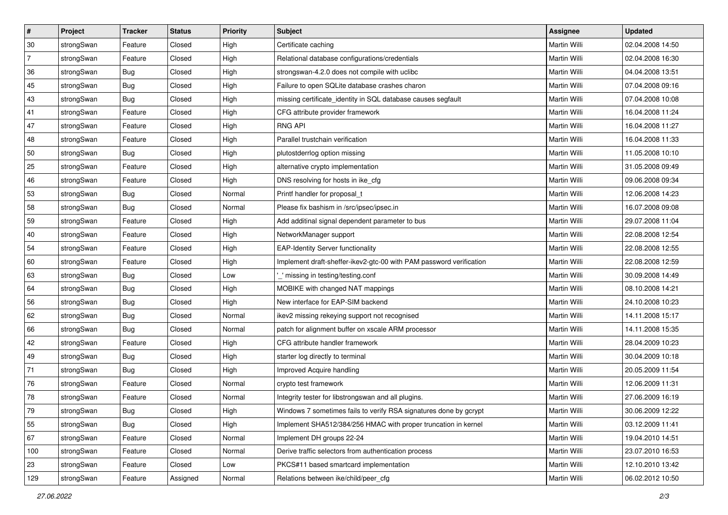| $\vert$ # | Project    | <b>Tracker</b> | <b>Status</b> | <b>Priority</b> | <b>Subject</b>                                                      | Assignee            | <b>Updated</b>   |
|-----------|------------|----------------|---------------|-----------------|---------------------------------------------------------------------|---------------------|------------------|
| 30        | strongSwan | Feature        | Closed        | High            | Certificate caching                                                 | Martin Willi        | 02.04.2008 14:50 |
| 7         | strongSwan | Feature        | Closed        | High            | Relational database configurations/credentials                      | <b>Martin Willi</b> | 02.04.2008 16:30 |
| 36        | strongSwan | <b>Bug</b>     | Closed        | High            | strongswan-4.2.0 does not compile with uclibc                       | Martin Willi        | 04.04.2008 13:51 |
| 45        | strongSwan | <b>Bug</b>     | Closed        | High            | Failure to open SQLite database crashes charon                      | Martin Willi        | 07.04.2008 09:16 |
| 43        | strongSwan | Bug            | Closed        | High            | missing certificate_identity in SQL database causes segfault        | Martin Willi        | 07.04.2008 10:08 |
| 41        | strongSwan | Feature        | Closed        | High            | CFG attribute provider framework                                    | Martin Willi        | 16.04.2008 11:24 |
| 47        | strongSwan | Feature        | Closed        | High            | <b>RNG API</b>                                                      | Martin Willi        | 16.04.2008 11:27 |
| 48        | strongSwan | Feature        | Closed        | High            | Parallel trustchain verification                                    | Martin Willi        | 16.04.2008 11:33 |
| 50        | strongSwan | Bug            | Closed        | High            | plutostderrlog option missing                                       | Martin Willi        | 11.05.2008 10:10 |
| 25        | strongSwan | Feature        | Closed        | High            | alternative crypto implementation                                   | Martin Willi        | 31.05.2008 09:49 |
| 46        | strongSwan | Feature        | Closed        | High            | DNS resolving for hosts in ike_cfg                                  | Martin Willi        | 09.06.2008 09:34 |
| 53        | strongSwan | <b>Bug</b>     | Closed        | Normal          | Printf handler for proposal_t                                       | Martin Willi        | 12.06.2008 14:23 |
| 58        | strongSwan | Bug            | Closed        | Normal          | Please fix bashism in /src/ipsec/ipsec.in                           | <b>Martin Willi</b> | 16.07.2008 09:08 |
| 59        | strongSwan | Feature        | Closed        | High            | Add additinal signal dependent parameter to bus                     | Martin Willi        | 29.07.2008 11:04 |
| 40        | strongSwan | Feature        | Closed        | High            | NetworkManager support                                              | <b>Martin Willi</b> | 22.08.2008 12:54 |
| 54        | strongSwan | Feature        | Closed        | High            | <b>EAP-Identity Server functionality</b>                            | Martin Willi        | 22.08.2008 12:55 |
| 60        | strongSwan | Feature        | Closed        | High            | Implement draft-sheffer-ikev2-gtc-00 with PAM password verification | Martin Willi        | 22.08.2008 12:59 |
| 63        | strongSwan | Bug            | Closed        | Low             | missing in testing/testing.conf                                     | Martin Willi        | 30.09.2008 14:49 |
| 64        | strongSwan | <b>Bug</b>     | Closed        | High            | MOBIKE with changed NAT mappings                                    | Martin Willi        | 08.10.2008 14:21 |
| 56        | strongSwan | <b>Bug</b>     | Closed        | High            | New interface for EAP-SIM backend                                   | Martin Willi        | 24.10.2008 10:23 |
| 62        | strongSwan | <b>Bug</b>     | Closed        | Normal          | ikev2 missing rekeying support not recognised                       | Martin Willi        | 14.11.2008 15:17 |
| 66        | strongSwan | <b>Bug</b>     | Closed        | Normal          | patch for alignment buffer on xscale ARM processor                  | Martin Willi        | 14.11.2008 15:35 |
| 42        | strongSwan | Feature        | Closed        | High            | CFG attribute handler framework                                     | Martin Willi        | 28.04.2009 10:23 |
| 49        | strongSwan | <b>Bug</b>     | Closed        | High            | starter log directly to terminal                                    | Martin Willi        | 30.04.2009 10:18 |
| 71        | strongSwan | <b>Bug</b>     | Closed        | High            | Improved Acquire handling                                           | Martin Willi        | 20.05.2009 11:54 |
| 76        | strongSwan | Feature        | Closed        | Normal          | crypto test framework                                               | Martin Willi        | 12.06.2009 11:31 |
| 78        | strongSwan | Feature        | Closed        | Normal          | Integrity tester for libstrongswan and all plugins.                 | Martin Willi        | 27.06.2009 16:19 |
| 79        | strongSwan | Bug            | Closed        | High            | Windows 7 sometimes fails to verify RSA signatures done by gcrypt   | Martin Willi        | 30.06.2009 12:22 |
| 55        | strongSwan | Bug            | Closed        | High            | Implement SHA512/384/256 HMAC with proper truncation in kernel      | <b>Martin Willi</b> | 03.12.2009 11:41 |
| 67        | strongSwan | Feature        | Closed        | Normal          | Implement DH groups 22-24                                           | Martin Willi        | 19.04.2010 14:51 |
| 100       | strongSwan | Feature        | Closed        | Normal          | Derive traffic selectors from authentication process                | Martin Willi        | 23.07.2010 16:53 |
| 23        | strongSwan | Feature        | Closed        | Low             | PKCS#11 based smartcard implementation                              | Martin Willi        | 12.10.2010 13:42 |
| 129       | strongSwan | Feature        | Assigned      | Normal          | Relations between ike/child/peer_cfg                                | Martin Willi        | 06.02.2012 10:50 |